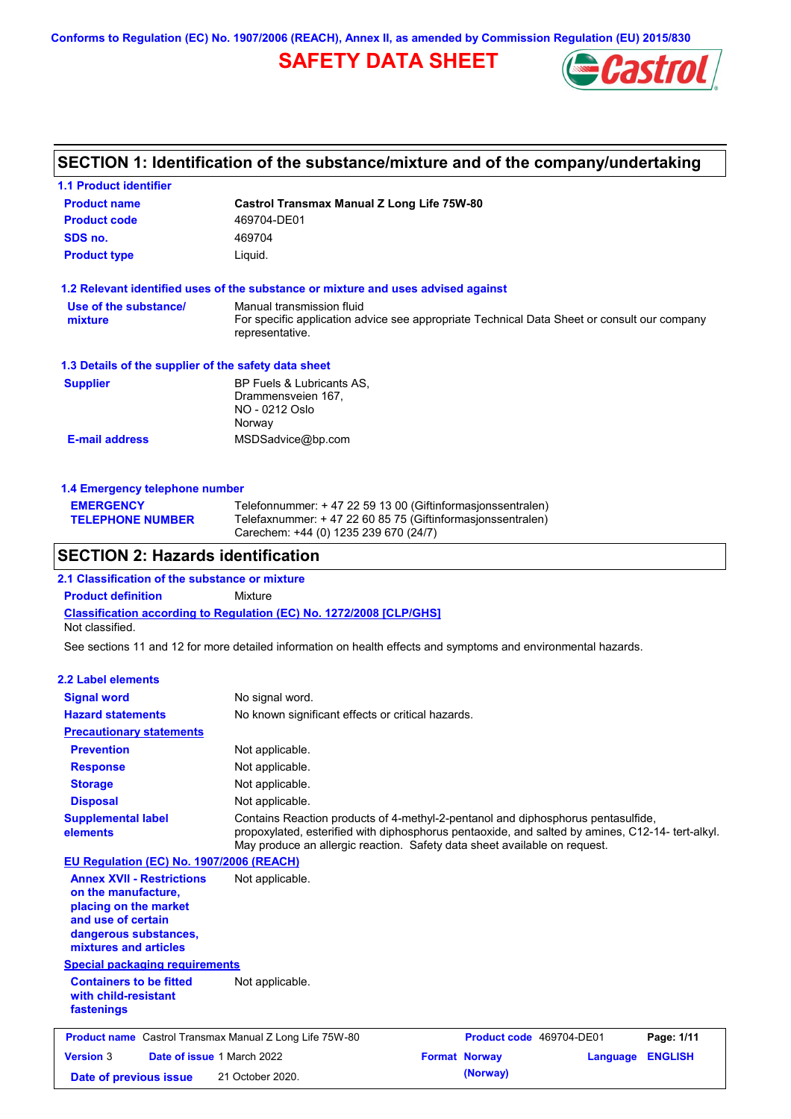**Conforms to Regulation (EC) No. 1907/2006 (REACH), Annex II, as amended by Commission Regulation (EU) 2015/830**

# **SAFETY DATA SHEET**



## **SECTION 1: Identification of the substance/mixture and of the company/undertaking**

**1.1 Product identifier**

| <b>Product name</b>                                                                                                                                      | <b>Castrol Transmax Manual Z Long Life 75W-80</b>                                                                                                                                                                                                                 |                          |          |                |
|----------------------------------------------------------------------------------------------------------------------------------------------------------|-------------------------------------------------------------------------------------------------------------------------------------------------------------------------------------------------------------------------------------------------------------------|--------------------------|----------|----------------|
| <b>Product code</b>                                                                                                                                      | 469704-DE01                                                                                                                                                                                                                                                       |                          |          |                |
| SDS no.                                                                                                                                                  | 469704                                                                                                                                                                                                                                                            |                          |          |                |
| <b>Product type</b>                                                                                                                                      | Liquid.                                                                                                                                                                                                                                                           |                          |          |                |
|                                                                                                                                                          | 1.2 Relevant identified uses of the substance or mixture and uses advised against                                                                                                                                                                                 |                          |          |                |
| Use of the substance/<br>mixture                                                                                                                         | Manual transmission fluid<br>For specific application advice see appropriate Technical Data Sheet or consult our company<br>representative.                                                                                                                       |                          |          |                |
| 1.3 Details of the supplier of the safety data sheet                                                                                                     |                                                                                                                                                                                                                                                                   |                          |          |                |
| <b>Supplier</b>                                                                                                                                          | BP Fuels & Lubricants AS,<br>Drammensveien 167,<br>NO - 0212 Oslo<br>Norway                                                                                                                                                                                       |                          |          |                |
| <b>E-mail address</b>                                                                                                                                    | MSDSadvice@bp.com                                                                                                                                                                                                                                                 |                          |          |                |
| 1.4 Emergency telephone number                                                                                                                           |                                                                                                                                                                                                                                                                   |                          |          |                |
| <b>EMERGENCY</b><br><b>TELEPHONE NUMBER</b>                                                                                                              | Telefonnummer: + 47 22 59 13 00 (Giftinformasjonssentralen)<br>Telefaxnummer: + 47 22 60 85 75 (Giftinformasjonssentralen)<br>Carechem: +44 (0) 1235 239 670 (24/7)                                                                                               |                          |          |                |
| <b>SECTION 2: Hazards identification</b>                                                                                                                 |                                                                                                                                                                                                                                                                   |                          |          |                |
| 2.1 Classification of the substance or mixture                                                                                                           |                                                                                                                                                                                                                                                                   |                          |          |                |
| <b>Product definition</b>                                                                                                                                | Mixture                                                                                                                                                                                                                                                           |                          |          |                |
| Not classified.                                                                                                                                          | <b>Classification according to Regulation (EC) No. 1272/2008 [CLP/GHS]</b>                                                                                                                                                                                        |                          |          |                |
|                                                                                                                                                          | See sections 11 and 12 for more detailed information on health effects and symptoms and environmental hazards.                                                                                                                                                    |                          |          |                |
| <b>2.2 Label elements</b>                                                                                                                                |                                                                                                                                                                                                                                                                   |                          |          |                |
| <b>Signal word</b>                                                                                                                                       | No signal word.                                                                                                                                                                                                                                                   |                          |          |                |
| <b>Hazard statements</b>                                                                                                                                 | No known significant effects or critical hazards.                                                                                                                                                                                                                 |                          |          |                |
| <b>Precautionary statements</b>                                                                                                                          |                                                                                                                                                                                                                                                                   |                          |          |                |
| <b>Prevention</b>                                                                                                                                        | Not applicable.                                                                                                                                                                                                                                                   |                          |          |                |
| <b>Response</b>                                                                                                                                          | Not applicable.                                                                                                                                                                                                                                                   |                          |          |                |
| <b>Storage</b>                                                                                                                                           | Not applicable.                                                                                                                                                                                                                                                   |                          |          |                |
| <b>Disposal</b>                                                                                                                                          | Not applicable.                                                                                                                                                                                                                                                   |                          |          |                |
| <b>Supplemental label</b><br>elements                                                                                                                    | Contains Reaction products of 4-methyl-2-pentanol and diphosphorus pentasulfide,<br>propoxylated, esterified with diphosphorus pentaoxide, and salted by amines, C12-14- tert-alkyl.<br>May produce an allergic reaction. Safety data sheet available on request. |                          |          |                |
| EU Regulation (EC) No. 1907/2006 (REACH)                                                                                                                 |                                                                                                                                                                                                                                                                   |                          |          |                |
| <b>Annex XVII - Restrictions</b><br>on the manufacture,<br>placing on the market<br>and use of certain<br>dangerous substances,<br>mixtures and articles | Not applicable.                                                                                                                                                                                                                                                   |                          |          |                |
| <b>Special packaging requirements</b>                                                                                                                    |                                                                                                                                                                                                                                                                   |                          |          |                |
| <b>Containers to be fitted</b><br>with child-resistant<br>fastenings                                                                                     | Not applicable.                                                                                                                                                                                                                                                   |                          |          |                |
| <b>Product name</b> Castrol Transmax Manual Z Long Life 75W-80                                                                                           |                                                                                                                                                                                                                                                                   | Product code 469704-DE01 |          | Page: 1/11     |
| <b>Version 3</b><br><b>Date of issue 1 March 2022</b>                                                                                                    |                                                                                                                                                                                                                                                                   | <b>Format Norway</b>     | Language | <b>ENGLISH</b> |
| Date of previous issue                                                                                                                                   | 21 October 2020.                                                                                                                                                                                                                                                  | (Norway)                 |          |                |
|                                                                                                                                                          |                                                                                                                                                                                                                                                                   |                          |          |                |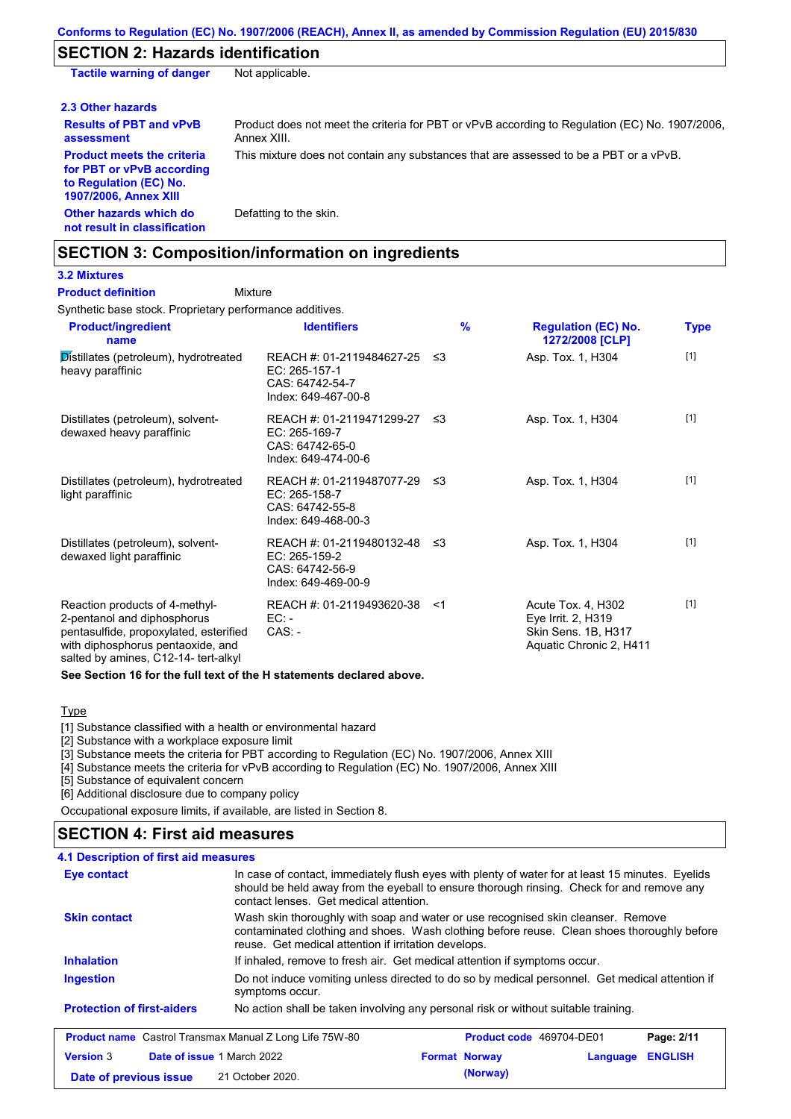## **SECTION 2: Hazards identification**

| <b>Tactile warning of danger</b>                                                                                         | Not applicable.                                                                                               |
|--------------------------------------------------------------------------------------------------------------------------|---------------------------------------------------------------------------------------------------------------|
| 2.3 Other hazards                                                                                                        |                                                                                                               |
| <b>Results of PBT and vPvB</b><br>assessment                                                                             | Product does not meet the criteria for PBT or vPvB according to Regulation (EC) No. 1907/2006,<br>Annex XIII. |
| <b>Product meets the criteria</b><br>for PBT or vPvB according<br>to Regulation (EC) No.<br><b>1907/2006, Annex XIII</b> | This mixture does not contain any substances that are assessed to be a PBT or a vPvB.                         |
| Other hazards which do<br>not result in classification                                                                   | Defatting to the skin.                                                                                        |

## **SECTION 3: Composition/information on ingredients**

## **3.2 Mixtures**

#### Mixture **Product definition**

| .                                                                                                                                                                                    |                                                                                           |       |               |                                                                                            |             |
|--------------------------------------------------------------------------------------------------------------------------------------------------------------------------------------|-------------------------------------------------------------------------------------------|-------|---------------|--------------------------------------------------------------------------------------------|-------------|
| Synthetic base stock. Proprietary performance additives.                                                                                                                             |                                                                                           |       |               |                                                                                            |             |
| <b>Product/ingredient</b><br>name                                                                                                                                                    | <b>Identifiers</b>                                                                        |       | $\frac{9}{6}$ | <b>Regulation (EC) No.</b><br>1272/2008 [CLP]                                              | <b>Type</b> |
| Distillates (petroleum), hydrotreated<br>heavy paraffinic                                                                                                                            | REACH #: 01-2119484627-25 ≤3<br>EC: 265-157-1<br>CAS: 64742-54-7<br>Index: 649-467-00-8   |       |               | Asp. Tox. 1, H304                                                                          | $[1]$       |
| Distillates (petroleum), solvent-<br>dewaxed heavy paraffinic                                                                                                                        | REACH #: 01-2119471299-27 ≤3<br>EC: 265-169-7<br>CAS: 64742-65-0<br>Index: 649-474-00-6   |       |               | Asp. Tox. 1, H304                                                                          | $[1]$       |
| Distillates (petroleum), hydrotreated<br>light paraffinic                                                                                                                            | REACH #: 01-2119487077-29 ≤3<br>$EC: 265-158-7$<br>CAS: 64742-55-8<br>Index: 649-468-00-3 |       |               | Asp. Tox. 1, H304                                                                          | $[1]$       |
| Distillates (petroleum), solvent-<br>dewaxed light paraffinic                                                                                                                        | REACH #: 01-2119480132-48 ≤3<br>EC: 265-159-2<br>CAS: 64742-56-9<br>Index: 649-469-00-9   |       |               | Asp. Tox. 1, H304                                                                          | $[1]$       |
| Reaction products of 4-methyl-<br>2-pentanol and diphosphorus<br>pentasulfide, propoxylated, esterified<br>with diphosphorus pentaoxide, and<br>salted by amines, C12-14- tert-alkyl | REACH #: 01-2119493620-38<br>$EC: -$<br>$CAS: -$                                          | $<$ 1 |               | Acute Tox. 4, H302<br>Eye Irrit. 2, H319<br>Skin Sens. 1B, H317<br>Aquatic Chronic 2, H411 | $[1]$       |

**See Section 16 for the full text of the H statements declared above.**

### **Type**

[1] Substance classified with a health or environmental hazard

[2] Substance with a workplace exposure limit

[3] Substance meets the criteria for PBT according to Regulation (EC) No. 1907/2006, Annex XIII

[4] Substance meets the criteria for vPvB according to Regulation (EC) No. 1907/2006, Annex XIII

[5] Substance of equivalent concern

[6] Additional disclosure due to company policy

Occupational exposure limits, if available, are listed in Section 8.

## **SECTION 4: First aid measures**

| 4.1 Description of first aid measures                                                                                                 |                                                                                                                                                                                                                                                                                                                                                                                                                                                                                                                                                                |  |  |
|---------------------------------------------------------------------------------------------------------------------------------------|----------------------------------------------------------------------------------------------------------------------------------------------------------------------------------------------------------------------------------------------------------------------------------------------------------------------------------------------------------------------------------------------------------------------------------------------------------------------------------------------------------------------------------------------------------------|--|--|
| <b>Eye contact</b>                                                                                                                    | In case of contact, immediately flush eyes with plenty of water for at least 15 minutes. Eyelids<br>should be held away from the eyeball to ensure thorough rinsing. Check for and remove any<br>contact lenses. Get medical attention.<br>Wash skin thoroughly with soap and water or use recognised skin cleanser. Remove<br>contaminated clothing and shoes. Wash clothing before reuse. Clean shoes thoroughly before<br>reuse. Get medical attention if irritation develops.<br>If inhaled, remove to fresh air. Get medical attention if symptoms occur. |  |  |
| <b>Skin contact</b>                                                                                                                   |                                                                                                                                                                                                                                                                                                                                                                                                                                                                                                                                                                |  |  |
| <b>Inhalation</b>                                                                                                                     |                                                                                                                                                                                                                                                                                                                                                                                                                                                                                                                                                                |  |  |
| Do not induce vomiting unless directed to do so by medical personnel. Get medical attention if<br><b>Ingestion</b><br>symptoms occur. |                                                                                                                                                                                                                                                                                                                                                                                                                                                                                                                                                                |  |  |
| <b>Protection of first-aiders</b>                                                                                                     | No action shall be taken involving any personal risk or without suitable training.                                                                                                                                                                                                                                                                                                                                                                                                                                                                             |  |  |
|                                                                                                                                       | <b>Product name</b> Castrol Transmax Manual Z Long Life 75W-80<br><b>Product code</b> 469704-DE01<br>Page: 2/11                                                                                                                                                                                                                                                                                                                                                                                                                                                |  |  |
| <b>Version 3</b>                                                                                                                      | <b>ENGLISH</b><br>Date of issue 1 March 2022<br><b>Format Norway</b><br>Language                                                                                                                                                                                                                                                                                                                                                                                                                                                                               |  |  |
| Date of previous issue                                                                                                                | (Norway)<br>21 October 2020.                                                                                                                                                                                                                                                                                                                                                                                                                                                                                                                                   |  |  |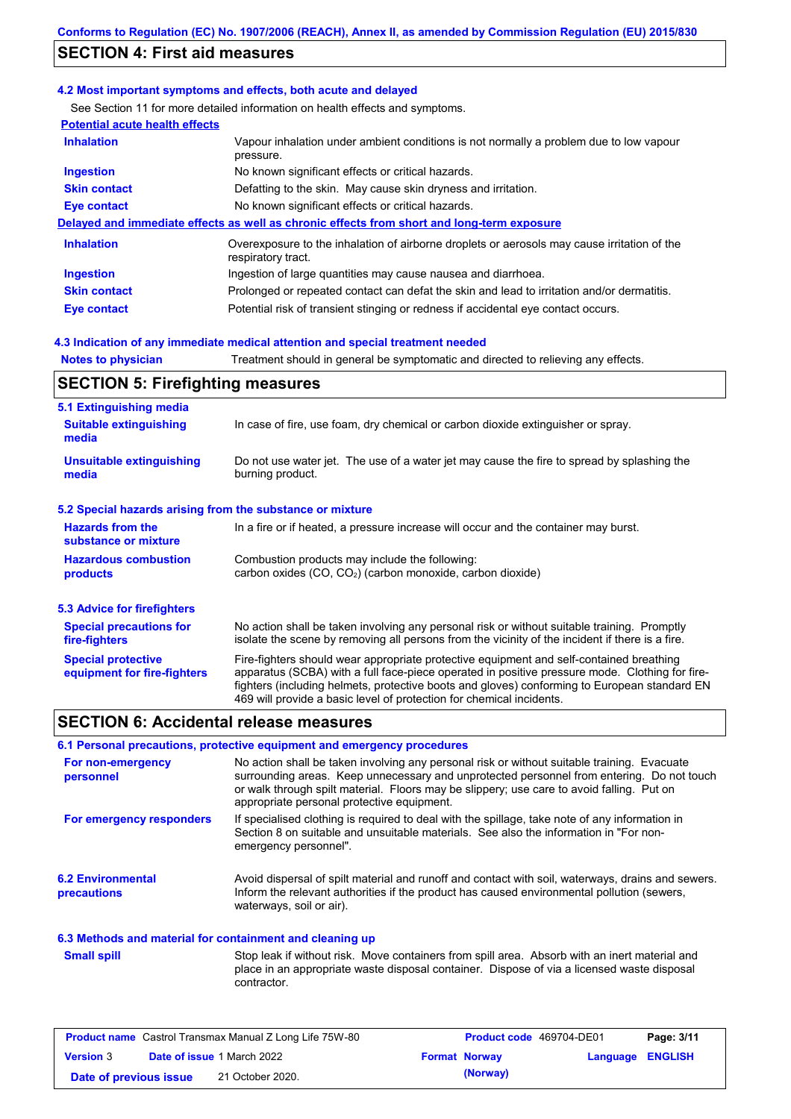## **SECTION 4: First aid measures**

### **4.2 Most important symptoms and effects, both acute and delayed**

See Section 11 for more detailed information on health effects and symptoms.

| <b>Potential acute health effects</b> |                                                                                                                   |  |
|---------------------------------------|-------------------------------------------------------------------------------------------------------------------|--|
| <b>Inhalation</b>                     | Vapour inhalation under ambient conditions is not normally a problem due to low vapour<br>pressure.               |  |
| Ingestion                             | No known significant effects or critical hazards.                                                                 |  |
| <b>Skin contact</b>                   | Defatting to the skin. May cause skin dryness and irritation.                                                     |  |
| Eye contact                           | No known significant effects or critical hazards.                                                                 |  |
|                                       | Delayed and immediate effects as well as chronic effects from short and long-term exposure                        |  |
| <b>Inhalation</b>                     | Overexposure to the inhalation of airborne droplets or aerosols may cause irritation of the<br>respiratory tract. |  |
| <b>Ingestion</b>                      | Ingestion of large quantities may cause nausea and diarrhoea.                                                     |  |
| <b>Skin contact</b>                   | Prolonged or repeated contact can defat the skin and lead to irritation and/or dermatitis.                        |  |
| Eye contact                           | Potential risk of transient stinging or redness if accidental eye contact occurs.                                 |  |
|                                       |                                                                                                                   |  |

### **4.3 Indication of any immediate medical attention and special treatment needed**

**Notes to physician** Treatment should in general be symptomatic and directed to relieving any effects.

## **SECTION 5: Firefighting measures**

| 5.1 Extinguishing media                                   |                                                                                                                                                                                                                                                                                                                                                                   |  |
|-----------------------------------------------------------|-------------------------------------------------------------------------------------------------------------------------------------------------------------------------------------------------------------------------------------------------------------------------------------------------------------------------------------------------------------------|--|
| <b>Suitable extinguishing</b><br>media                    | In case of fire, use foam, dry chemical or carbon dioxide extinguisher or spray.                                                                                                                                                                                                                                                                                  |  |
| <b>Unsuitable extinguishing</b><br>media                  | Do not use water jet. The use of a water jet may cause the fire to spread by splashing the<br>burning product.                                                                                                                                                                                                                                                    |  |
| 5.2 Special hazards arising from the substance or mixture |                                                                                                                                                                                                                                                                                                                                                                   |  |
| <b>Hazards from the</b><br>substance or mixture           | In a fire or if heated, a pressure increase will occur and the container may burst.                                                                                                                                                                                                                                                                               |  |
| <b>Hazardous combustion</b><br>products                   | Combustion products may include the following:<br>carbon oxides (CO, CO <sub>2</sub> ) (carbon monoxide, carbon dioxide)                                                                                                                                                                                                                                          |  |
| 5.3 Advice for firefighters                               |                                                                                                                                                                                                                                                                                                                                                                   |  |
| <b>Special precautions for</b><br>fire-fighters           | No action shall be taken involving any personal risk or without suitable training. Promptly<br>isolate the scene by removing all persons from the vicinity of the incident if there is a fire.                                                                                                                                                                    |  |
| <b>Special protective</b><br>equipment for fire-fighters  | Fire-fighters should wear appropriate protective equipment and self-contained breathing<br>apparatus (SCBA) with a full face-piece operated in positive pressure mode. Clothing for fire-<br>fighters (including helmets, protective boots and gloves) conforming to European standard EN<br>469 will provide a basic level of protection for chemical incidents. |  |

## **SECTION 6: Accidental release measures**

#### **6.1 Personal precautions, protective equipment and emergency procedures**

| For non-emergency<br>personnel          | No action shall be taken involving any personal risk or without suitable training. Evacuate<br>surrounding areas. Keep unnecessary and unprotected personnel from entering. Do not touch<br>or walk through spilt material. Floors may be slippery; use care to avoid falling. Put on<br>appropriate personal protective equipment. |
|-----------------------------------------|-------------------------------------------------------------------------------------------------------------------------------------------------------------------------------------------------------------------------------------------------------------------------------------------------------------------------------------|
| For emergency responders                | If specialised clothing is required to deal with the spillage, take note of any information in<br>Section 8 on suitable and unsuitable materials. See also the information in "For non-<br>emergency personnel".                                                                                                                    |
| <b>6.2 Environmental</b><br>precautions | Avoid dispersal of spilt material and runoff and contact with soil, waterways, drains and sewers.<br>Inform the relevant authorities if the product has caused environmental pollution (sewers,<br>waterways, soil or air).                                                                                                         |

### **6.3 Methods and material for containment and cleaning up**

Stop leak if without risk. Move containers from spill area. Absorb with an inert material and place in an appropriate waste disposal container. Dispose of via a licensed waste disposal contractor. **Small spill**

|                        | <b>Product name</b> Castrol Transmax Manual Z Long Life 75W-80 | <b>Product code</b> 469704-DE01 |                         | Page: 3/11 |
|------------------------|----------------------------------------------------------------|---------------------------------|-------------------------|------------|
| <b>Version 3</b>       | <b>Date of issue 1 March 2022</b>                              | <b>Format Norway</b>            | <b>Language ENGLISH</b> |            |
| Date of previous issue | 21 October 2020.                                               | (Norway)                        |                         |            |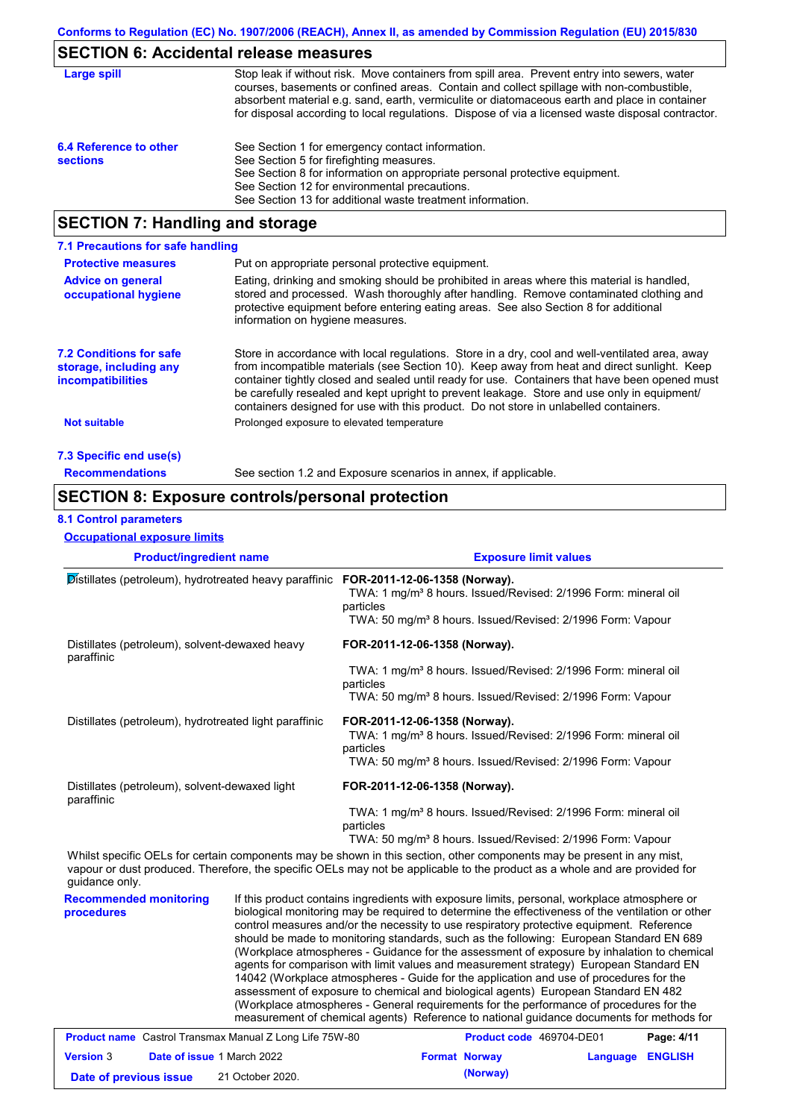## **SECTION 6: Accidental release measures**

| Large spill                               | Stop leak if without risk. Move containers from spill area. Prevent entry into sewers, water<br>courses, basements or confined areas. Contain and collect spillage with non-combustible,<br>absorbent material e.g. sand, earth, vermiculite or diatomaceous earth and place in container<br>for disposal according to local regulations. Dispose of via a licensed waste disposal contractor. |  |
|-------------------------------------------|------------------------------------------------------------------------------------------------------------------------------------------------------------------------------------------------------------------------------------------------------------------------------------------------------------------------------------------------------------------------------------------------|--|
| 6.4 Reference to other<br><b>sections</b> | See Section 1 for emergency contact information.<br>See Section 5 for firefighting measures.                                                                                                                                                                                                                                                                                                   |  |
|                                           | See Section 8 for information on appropriate personal protective equipment.                                                                                                                                                                                                                                                                                                                    |  |
|                                           | See Section 12 for environmental precautions.                                                                                                                                                                                                                                                                                                                                                  |  |
|                                           | See Section 13 for additional waste treatment information.                                                                                                                                                                                                                                                                                                                                     |  |

## **SECTION 7: Handling and storage**

| 7.1 Precautions for safe handling                                                    |                                                                                                                                                                                                                                                                                                                                                                                                                                                                                          |
|--------------------------------------------------------------------------------------|------------------------------------------------------------------------------------------------------------------------------------------------------------------------------------------------------------------------------------------------------------------------------------------------------------------------------------------------------------------------------------------------------------------------------------------------------------------------------------------|
| <b>Protective measures</b>                                                           | Put on appropriate personal protective equipment.                                                                                                                                                                                                                                                                                                                                                                                                                                        |
| <b>Advice on general</b><br>occupational hygiene                                     | Eating, drinking and smoking should be prohibited in areas where this material is handled,<br>stored and processed. Wash thoroughly after handling. Remove contaminated clothing and<br>protective equipment before entering eating areas. See also Section 8 for additional<br>information on hygiene measures.                                                                                                                                                                         |
| <b>7.2 Conditions for safe</b><br>storage, including any<br><i>incompatibilities</i> | Store in accordance with local requlations. Store in a dry, cool and well-ventilated area, away<br>from incompatible materials (see Section 10). Keep away from heat and direct sunlight. Keep<br>container tightly closed and sealed until ready for use. Containers that have been opened must<br>be carefully resealed and kept upright to prevent leakage. Store and use only in equipment/<br>containers designed for use with this product. Do not store in unlabelled containers. |
| <b>Not suitable</b>                                                                  | Prolonged exposure to elevated temperature                                                                                                                                                                                                                                                                                                                                                                                                                                               |
| 7.3 Specific end use(s)                                                              |                                                                                                                                                                                                                                                                                                                                                                                                                                                                                          |
| <b>Recommendations</b>                                                               | See section 1.2 and Exposure scenarios in annex, if applicable.                                                                                                                                                                                                                                                                                                                                                                                                                          |

## **SECTION 8: Exposure controls/personal protection**

### **8.1 Control parameters**

| <b>Occupational exposure limits</b> |
|-------------------------------------|
|-------------------------------------|

| <b>Product/ingredient name</b>                               | <b>Exposure limit values</b>                                                                                             |
|--------------------------------------------------------------|--------------------------------------------------------------------------------------------------------------------------|
| Distillates (petroleum), hydrotreated heavy paraffinic       | FOR-2011-12-06-1358 (Norway).<br>TWA: 1 mg/m <sup>3</sup> 8 hours. Issued/Revised: 2/1996 Form: mineral oil<br>particles |
|                                                              | TWA: 50 mg/m <sup>3</sup> 8 hours. Issued/Revised: 2/1996 Form: Vapour                                                   |
| Distillates (petroleum), solvent-dewaxed heavy<br>paraffinic | FOR-2011-12-06-1358 (Norway).                                                                                            |
|                                                              | TWA: 1 mg/m <sup>3</sup> 8 hours. Issued/Revised: 2/1996 Form: mineral oil<br>particles                                  |
|                                                              | TWA: 50 mg/m <sup>3</sup> 8 hours. Issued/Revised: 2/1996 Form: Vapour                                                   |
| Distillates (petroleum), hydrotreated light paraffinic       | FOR-2011-12-06-1358 (Norway).                                                                                            |
|                                                              | TWA: 1 mg/m <sup>3</sup> 8 hours. Issued/Revised: 2/1996 Form: mineral oil<br>particles                                  |
|                                                              | TWA: 50 mg/m <sup>3</sup> 8 hours. Issued/Revised: 2/1996 Form: Vapour                                                   |
| Distillates (petroleum), solvent-dewaxed light<br>paraffinic | FOR-2011-12-06-1358 (Norway).                                                                                            |
|                                                              | TWA: 1 mg/m <sup>3</sup> 8 hours. Issued/Revised: 2/1996 Form: mineral oil<br>particles                                  |

TWA: 50 mg/m³ 8 hours. Issued/Revised: 2/1996 Form: Vapour

Whilst specific OELs for certain components may be shown in this section, other components may be present in any mist, vapour or dust produced. Therefore, the specific OELs may not be applicable to the product as a whole and are provided for guidance only.

**Recommended monitoring procedures** If this product contains ingredients with exposure limits, personal, workplace atmosphere or biological monitoring may be required to determine the effectiveness of the ventilation or other control measures and/or the necessity to use respiratory protective equipment. Reference should be made to monitoring standards, such as the following: European Standard EN 689 (Workplace atmospheres - Guidance for the assessment of exposure by inhalation to chemical agents for comparison with limit values and measurement strategy) European Standard EN 14042 (Workplace atmospheres - Guide for the application and use of procedures for the assessment of exposure to chemical and biological agents) European Standard EN 482 (Workplace atmospheres - General requirements for the performance of procedures for the measurement of chemical agents) Reference to national guidance documents for methods for

|                        | <b>Product name</b> Castrol Transmax Manual Z Long Life 75W-80 | <b>Product code</b> 469704-DE01 |                         | Page: 4/11 |
|------------------------|----------------------------------------------------------------|---------------------------------|-------------------------|------------|
| <b>Version 3</b>       | <b>Date of issue 1 March 2022</b>                              | <b>Format Norway</b>            | <b>Language ENGLISH</b> |            |
| Date of previous issue | 21 October 2020.                                               | (Norway)                        |                         |            |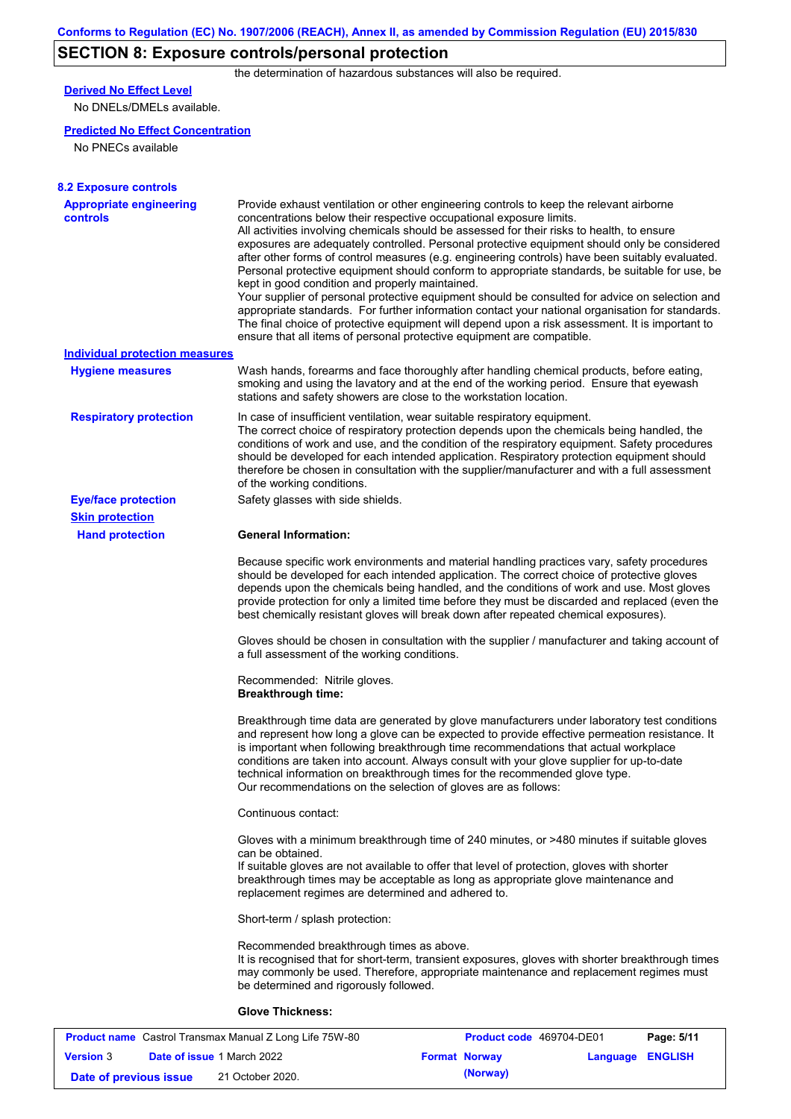# **SECTION 8: Exposure controls/personal protection**

the determination of hazardous substances will also be required.

# **Derived No Effect Level**

No DNELs/DMELs available.

### **Predicted No Effect Concentration**

No PNECs available

| <b>8.2 Exposure controls</b><br><b>Appropriate engineering</b> | Provide exhaust ventilation or other engineering controls to keep the relevant airborne                                                                                                                                                                                                                                                                                                                                                                                                                                                                                                                                                                                                                                                                                                                                                                                                                      |
|----------------------------------------------------------------|--------------------------------------------------------------------------------------------------------------------------------------------------------------------------------------------------------------------------------------------------------------------------------------------------------------------------------------------------------------------------------------------------------------------------------------------------------------------------------------------------------------------------------------------------------------------------------------------------------------------------------------------------------------------------------------------------------------------------------------------------------------------------------------------------------------------------------------------------------------------------------------------------------------|
| controls                                                       | concentrations below their respective occupational exposure limits.<br>All activities involving chemicals should be assessed for their risks to health, to ensure<br>exposures are adequately controlled. Personal protective equipment should only be considered<br>after other forms of control measures (e.g. engineering controls) have been suitably evaluated.<br>Personal protective equipment should conform to appropriate standards, be suitable for use, be<br>kept in good condition and properly maintained.<br>Your supplier of personal protective equipment should be consulted for advice on selection and<br>appropriate standards. For further information contact your national organisation for standards.<br>The final choice of protective equipment will depend upon a risk assessment. It is important to<br>ensure that all items of personal protective equipment are compatible. |
| <b>Individual protection measures</b>                          |                                                                                                                                                                                                                                                                                                                                                                                                                                                                                                                                                                                                                                                                                                                                                                                                                                                                                                              |
| <b>Hygiene measures</b>                                        | Wash hands, forearms and face thoroughly after handling chemical products, before eating,<br>smoking and using the lavatory and at the end of the working period. Ensure that eyewash<br>stations and safety showers are close to the workstation location.                                                                                                                                                                                                                                                                                                                                                                                                                                                                                                                                                                                                                                                  |
| <b>Respiratory protection</b>                                  | In case of insufficient ventilation, wear suitable respiratory equipment.<br>The correct choice of respiratory protection depends upon the chemicals being handled, the<br>conditions of work and use, and the condition of the respiratory equipment. Safety procedures<br>should be developed for each intended application. Respiratory protection equipment should<br>therefore be chosen in consultation with the supplier/manufacturer and with a full assessment<br>of the working conditions.                                                                                                                                                                                                                                                                                                                                                                                                        |
| <b>Eye/face protection</b>                                     | Safety glasses with side shields.                                                                                                                                                                                                                                                                                                                                                                                                                                                                                                                                                                                                                                                                                                                                                                                                                                                                            |
| <b>Skin protection</b>                                         |                                                                                                                                                                                                                                                                                                                                                                                                                                                                                                                                                                                                                                                                                                                                                                                                                                                                                                              |
| <b>Hand protection</b>                                         | <b>General Information:</b>                                                                                                                                                                                                                                                                                                                                                                                                                                                                                                                                                                                                                                                                                                                                                                                                                                                                                  |
|                                                                | Because specific work environments and material handling practices vary, safety procedures<br>should be developed for each intended application. The correct choice of protective gloves<br>depends upon the chemicals being handled, and the conditions of work and use. Most gloves<br>provide protection for only a limited time before they must be discarded and replaced (even the<br>best chemically resistant gloves will break down after repeated chemical exposures).                                                                                                                                                                                                                                                                                                                                                                                                                             |
|                                                                | Gloves should be chosen in consultation with the supplier / manufacturer and taking account of<br>a full assessment of the working conditions.                                                                                                                                                                                                                                                                                                                                                                                                                                                                                                                                                                                                                                                                                                                                                               |
|                                                                | Recommended: Nitrile gloves.<br><b>Breakthrough time:</b>                                                                                                                                                                                                                                                                                                                                                                                                                                                                                                                                                                                                                                                                                                                                                                                                                                                    |
|                                                                | Breakthrough time data are generated by glove manufacturers under laboratory test conditions<br>and represent how long a glove can be expected to provide effective permeation resistance. It<br>is important when following breakthrough time recommendations that actual workplace<br>conditions are taken into account. Always consult with your glove supplier for up-to-date<br>technical information on breakthrough times for the recommended glove type.<br>Our recommendations on the selection of gloves are as follows:                                                                                                                                                                                                                                                                                                                                                                           |
|                                                                | Continuous contact:                                                                                                                                                                                                                                                                                                                                                                                                                                                                                                                                                                                                                                                                                                                                                                                                                                                                                          |
|                                                                | Gloves with a minimum breakthrough time of 240 minutes, or >480 minutes if suitable gloves<br>can be obtained.<br>If suitable gloves are not available to offer that level of protection, gloves with shorter<br>breakthrough times may be acceptable as long as appropriate glove maintenance and<br>replacement regimes are determined and adhered to.                                                                                                                                                                                                                                                                                                                                                                                                                                                                                                                                                     |
|                                                                | Short-term / splash protection:                                                                                                                                                                                                                                                                                                                                                                                                                                                                                                                                                                                                                                                                                                                                                                                                                                                                              |
|                                                                | Recommended breakthrough times as above.<br>It is recognised that for short-term, transient exposures, gloves with shorter breakthrough times<br>may commonly be used. Therefore, appropriate maintenance and replacement regimes must<br>be determined and rigorously followed.                                                                                                                                                                                                                                                                                                                                                                                                                                                                                                                                                                                                                             |
|                                                                |                                                                                                                                                                                                                                                                                                                                                                                                                                                                                                                                                                                                                                                                                                                                                                                                                                                                                                              |

|                        | <b>Product name</b> Castrol Transmax Manual Z Long Life 75W-80 | <b>Product code</b> 469704-DE01 |                  | Page: 5/11 |
|------------------------|----------------------------------------------------------------|---------------------------------|------------------|------------|
| <b>Version 3</b>       | <b>Date of issue 1 March 2022</b>                              | <b>Format Norway</b>            | Language ENGLISH |            |
| Date of previous issue | 21 October 2020.                                               | (Norway)                        |                  |            |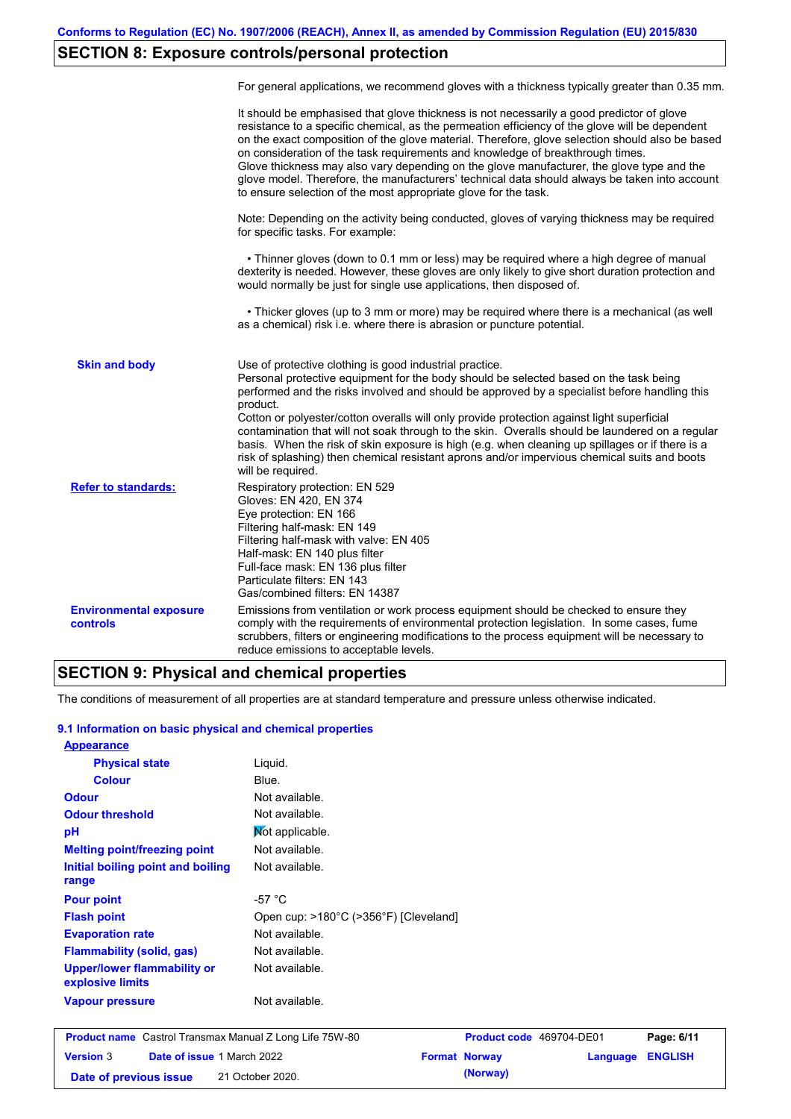# **SECTION 8: Exposure controls/personal protection**

|                                           | For general applications, we recommend gloves with a thickness typically greater than 0.35 mm.                                                                                                                                                                                                                                                                                                                                                                                                                                                                                                                                                                                        |
|-------------------------------------------|---------------------------------------------------------------------------------------------------------------------------------------------------------------------------------------------------------------------------------------------------------------------------------------------------------------------------------------------------------------------------------------------------------------------------------------------------------------------------------------------------------------------------------------------------------------------------------------------------------------------------------------------------------------------------------------|
|                                           | It should be emphasised that glove thickness is not necessarily a good predictor of glove<br>resistance to a specific chemical, as the permeation efficiency of the glove will be dependent<br>on the exact composition of the glove material. Therefore, glove selection should also be based<br>on consideration of the task requirements and knowledge of breakthrough times.<br>Glove thickness may also vary depending on the glove manufacturer, the glove type and the<br>glove model. Therefore, the manufacturers' technical data should always be taken into account<br>to ensure selection of the most appropriate glove for the task.                                     |
|                                           | Note: Depending on the activity being conducted, gloves of varying thickness may be required<br>for specific tasks. For example:                                                                                                                                                                                                                                                                                                                                                                                                                                                                                                                                                      |
|                                           | • Thinner gloves (down to 0.1 mm or less) may be required where a high degree of manual<br>dexterity is needed. However, these gloves are only likely to give short duration protection and<br>would normally be just for single use applications, then disposed of.                                                                                                                                                                                                                                                                                                                                                                                                                  |
|                                           | • Thicker gloves (up to 3 mm or more) may be required where there is a mechanical (as well<br>as a chemical) risk i.e. where there is abrasion or puncture potential.                                                                                                                                                                                                                                                                                                                                                                                                                                                                                                                 |
| <b>Skin and body</b>                      | Use of protective clothing is good industrial practice.<br>Personal protective equipment for the body should be selected based on the task being<br>performed and the risks involved and should be approved by a specialist before handling this<br>product.<br>Cotton or polyester/cotton overalls will only provide protection against light superficial<br>contamination that will not soak through to the skin. Overalls should be laundered on a regular<br>basis. When the risk of skin exposure is high (e.g. when cleaning up spillages or if there is a<br>risk of splashing) then chemical resistant aprons and/or impervious chemical suits and boots<br>will be required. |
| <b>Refer to standards:</b>                | Respiratory protection: EN 529<br>Gloves: EN 420, EN 374<br>Eye protection: EN 166<br>Filtering half-mask: EN 149<br>Filtering half-mask with valve: EN 405<br>Half-mask: EN 140 plus filter<br>Full-face mask: EN 136 plus filter<br>Particulate filters: EN 143<br>Gas/combined filters: EN 14387                                                                                                                                                                                                                                                                                                                                                                                   |
| <b>Environmental exposure</b><br>controls | Emissions from ventilation or work process equipment should be checked to ensure they<br>comply with the requirements of environmental protection legislation. In some cases, fume<br>scrubbers, filters or engineering modifications to the process equipment will be necessary to<br>reduce emissions to acceptable levels.                                                                                                                                                                                                                                                                                                                                                         |

## **SECTION 9: Physical and chemical properties**

The conditions of measurement of all properties are at standard temperature and pressure unless otherwise indicated.

### **9.1 Information on basic physical and chemical properties**

| <b>Appearance</b>                               |                                       |
|-------------------------------------------------|---------------------------------------|
| <b>Physical state</b>                           | Liguid.                               |
| <b>Colour</b>                                   | Blue.                                 |
| <b>Odour</b>                                    | Not available.                        |
| <b>Odour threshold</b>                          | Not available.                        |
| рH                                              | Mot applicable.                       |
| <b>Melting point/freezing point</b>             | Not available.                        |
| Initial boiling point and boiling               | Not available.                        |
| range                                           |                                       |
| <b>Pour point</b>                               | -57 °C                                |
| <b>Flash point</b>                              | Open cup: >180°C (>356°F) [Cleveland] |
| <b>Evaporation rate</b>                         | Not available.                        |
| Flammability (solid, gas)                       | Not available.                        |
| Upper/lower flammability or<br>explosive limits | Not available.                        |
| <b>Vapour pressure</b>                          | Not available.                        |
|                                                 |                                       |

| <b>Product name</b> Castrol Transmax Manual Z Long Life 75W-80 |  |                                   | <b>Product code</b> 469704-DE01 |                         | Page: 6/11 |
|----------------------------------------------------------------|--|-----------------------------------|---------------------------------|-------------------------|------------|
| <b>Version 3</b>                                               |  | <b>Date of issue 1 March 2022</b> | <b>Format Norway</b>            | <b>Language ENGLISH</b> |            |
| Date of previous issue                                         |  | 21 October 2020.                  | (Norway)                        |                         |            |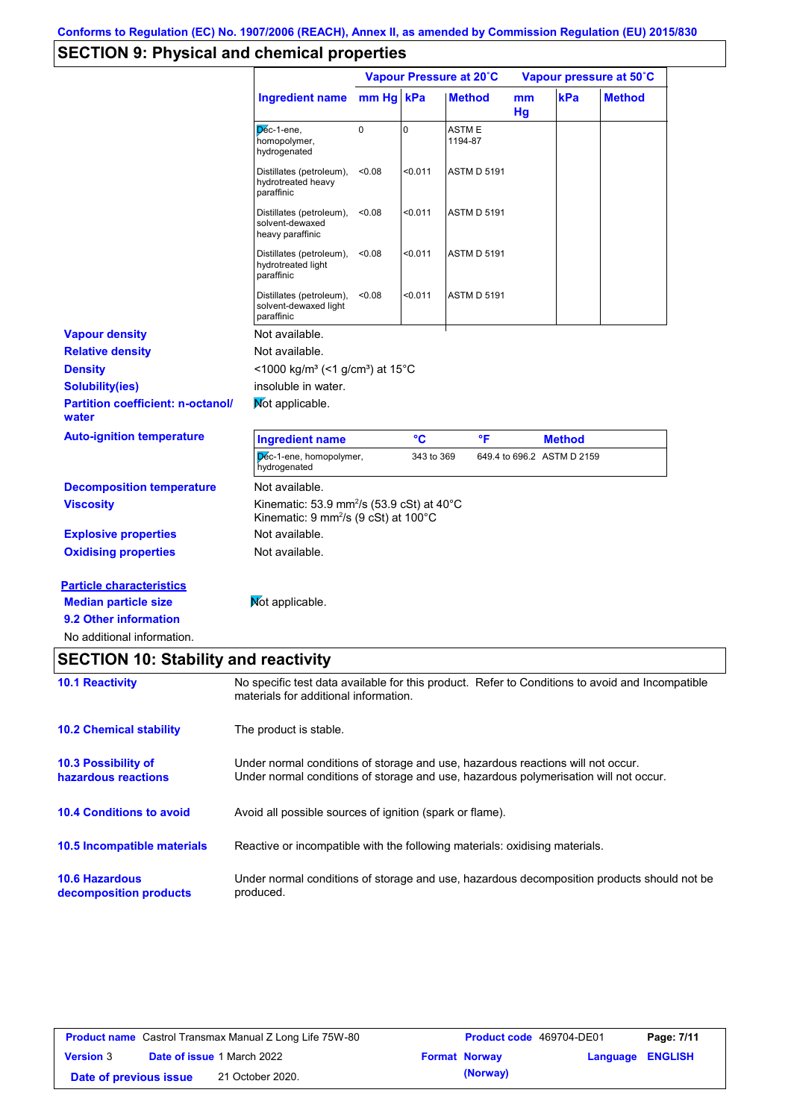# **SECTION 9: Physical and chemical properties**

|                                                   |                                                                                                                                                                         |             |             | Vapour Pressure at 20°C | Vapour pressure at 50°C |                            |               |
|---------------------------------------------------|-------------------------------------------------------------------------------------------------------------------------------------------------------------------------|-------------|-------------|-------------------------|-------------------------|----------------------------|---------------|
|                                                   | <b>Ingredient name</b>                                                                                                                                                  | $mm Hg$ kPa |             | <b>Method</b>           | mm<br>Hg                | kPa                        | <b>Method</b> |
|                                                   | Dec-1-ene,<br>homopolymer,<br>hydrogenated                                                                                                                              | $\mathbf 0$ | $\mathbf 0$ | ASTM E<br>1194-87       |                         |                            |               |
|                                                   | Distillates (petroleum),<br>hydrotreated heavy<br>paraffinic                                                                                                            | < 0.08      | $0.011$     | <b>ASTM D 5191</b>      |                         |                            |               |
|                                                   | Distillates (petroleum),<br>solvent-dewaxed<br>heavy paraffinic                                                                                                         | < 0.08      | < 0.011     | <b>ASTM D 5191</b>      |                         |                            |               |
|                                                   | Distillates (petroleum),<br>hydrotreated light<br>paraffinic                                                                                                            | < 0.08      | < 0.011     | <b>ASTM D 5191</b>      |                         |                            |               |
|                                                   | Distillates (petroleum),<br>solvent-dewaxed light<br>paraffinic                                                                                                         | < 0.08      | < 0.011     | <b>ASTM D 5191</b>      |                         |                            |               |
| <b>Vapour density</b>                             | Not available.                                                                                                                                                          |             |             |                         |                         |                            |               |
| <b>Relative density</b>                           | Not available.                                                                                                                                                          |             |             |                         |                         |                            |               |
| <b>Density</b>                                    | <1000 kg/m <sup>3</sup> (<1 g/cm <sup>3</sup> ) at 15 <sup>°</sup> C                                                                                                    |             |             |                         |                         |                            |               |
| <b>Solubility(ies)</b>                            | insoluble in water.                                                                                                                                                     |             |             |                         |                         |                            |               |
| <b>Partition coefficient: n-octanol/</b><br>water | Mot applicable.                                                                                                                                                         |             |             |                         |                         |                            |               |
| <b>Auto-ignition temperature</b>                  | <b>Ingredient name</b>                                                                                                                                                  |             | °C          | °F                      |                         | <b>Method</b>              |               |
|                                                   | Dec-1-ene, homopolymer,<br>hydrogenated                                                                                                                                 |             | 343 to 369  |                         |                         | 649.4 to 696.2 ASTM D 2159 |               |
| <b>Decomposition temperature</b>                  | Not available.                                                                                                                                                          |             |             |                         |                         |                            |               |
| <b>Viscosity</b>                                  | Kinematic: 53.9 mm <sup>2</sup> /s (53.9 cSt) at $40^{\circ}$ C<br>Kinematic: $9 \text{ mm}^2\text{/s}$ (9 cSt) at 100 $^{\circ}$ C                                     |             |             |                         |                         |                            |               |
| <b>Explosive properties</b>                       | Not available.                                                                                                                                                          |             |             |                         |                         |                            |               |
| <b>Oxidising properties</b>                       | Not available.                                                                                                                                                          |             |             |                         |                         |                            |               |
| <b>Particle characteristics</b>                   |                                                                                                                                                                         |             |             |                         |                         |                            |               |
| <b>Median particle size</b>                       | Not applicable.                                                                                                                                                         |             |             |                         |                         |                            |               |
| 9.2 Other information                             |                                                                                                                                                                         |             |             |                         |                         |                            |               |
| No additional information.                        |                                                                                                                                                                         |             |             |                         |                         |                            |               |
| <b>SECTION 10: Stability and reactivity</b>       |                                                                                                                                                                         |             |             |                         |                         |                            |               |
| <b>10.1 Reactivity</b>                            | No specific test data available for this product. Refer to Conditions to avoid and Incompatible<br>materials for additional information.                                |             |             |                         |                         |                            |               |
| <b>10.2 Chemical stability</b>                    | The product is stable.                                                                                                                                                  |             |             |                         |                         |                            |               |
| <b>10.3 Possibility of</b><br>hazardous reactions | Under normal conditions of storage and use, hazardous reactions will not occur.<br>Under normal conditions of storage and use, hazardous polymerisation will not occur. |             |             |                         |                         |                            |               |
| <b>10.4 Conditions to avoid</b>                   | Avoid all possible sources of ignition (spark or flame).                                                                                                                |             |             |                         |                         |                            |               |
| 10.5 Incompatible materials                       | Reactive or incompatible with the following materials: oxidising materials.                                                                                             |             |             |                         |                         |                            |               |
| <b>10.6 Hazardous</b><br>decomposition products   | Under normal conditions of storage and use, hazardous decomposition products should not be<br>produced.                                                                 |             |             |                         |                         |                            |               |
|                                                   |                                                                                                                                                                         |             |             |                         |                         |                            |               |

| <b>Product name</b> Castrol Transmax Manual Z Long Life 75W-80 |  |                                   | <b>Product code</b> 469704-DE01 |                         | Page: 7/11 |
|----------------------------------------------------------------|--|-----------------------------------|---------------------------------|-------------------------|------------|
| <b>Version 3</b>                                               |  | <b>Date of issue 1 March 2022</b> | <b>Format Norway</b>            | <b>Language ENGLISH</b> |            |
| Date of previous issue                                         |  | 21 October 2020.                  | (Norway)                        |                         |            |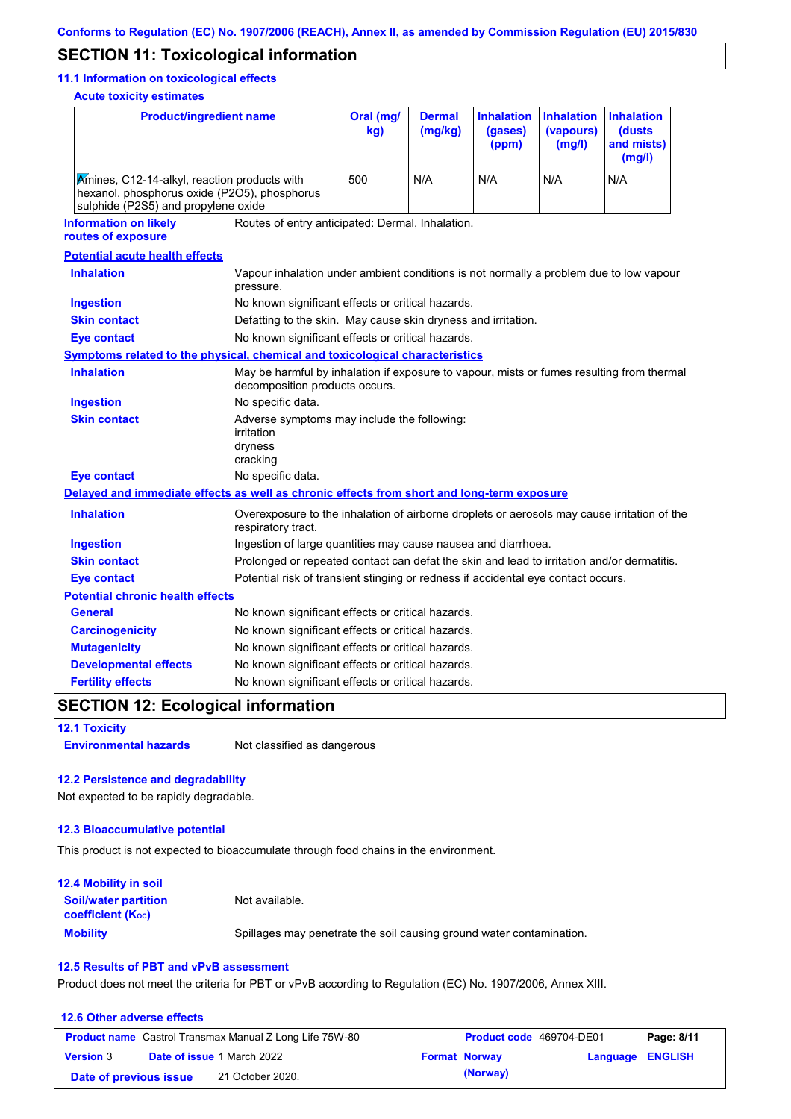## **SECTION 11: Toxicological information**

### **11.1 Information on toxicological effects**

**Acute toxicity estimates**

| <b>Product/ingredient name</b>                                                                                                      |                                                                                                                             | Oral (mg/<br>kg)                                              | <b>Dermal</b><br>(mg/kg) | <b>Inhalation</b><br>(gases)<br>(ppm) | <b>Inhalation</b><br>(vapours)<br>(mg/l) | <b>Inhalation</b><br>(dusts<br>and mists)<br>(mg/l) |  |
|-------------------------------------------------------------------------------------------------------------------------------------|-----------------------------------------------------------------------------------------------------------------------------|---------------------------------------------------------------|--------------------------|---------------------------------------|------------------------------------------|-----------------------------------------------------|--|
| Amines, C12-14-alkyl, reaction products with<br>hexanol, phosphorus oxide (P2O5), phosphorus<br>sulphide (P2S5) and propylene oxide |                                                                                                                             | 500                                                           | N/A                      | N/A                                   | N/A                                      | N/A                                                 |  |
| <b>Information on likely</b><br>routes of exposure                                                                                  | Routes of entry anticipated: Dermal, Inhalation.                                                                            |                                                               |                          |                                       |                                          |                                                     |  |
| <b>Potential acute health effects</b>                                                                                               |                                                                                                                             |                                                               |                          |                                       |                                          |                                                     |  |
| <b>Inhalation</b>                                                                                                                   | Vapour inhalation under ambient conditions is not normally a problem due to low vapour<br>pressure.                         |                                                               |                          |                                       |                                          |                                                     |  |
| <b>Ingestion</b>                                                                                                                    | No known significant effects or critical hazards.                                                                           |                                                               |                          |                                       |                                          |                                                     |  |
| <b>Skin contact</b>                                                                                                                 | Defatting to the skin. May cause skin dryness and irritation.                                                               |                                                               |                          |                                       |                                          |                                                     |  |
| <b>Eye contact</b>                                                                                                                  | No known significant effects or critical hazards.                                                                           |                                                               |                          |                                       |                                          |                                                     |  |
| <b>Symptoms related to the physical, chemical and toxicological characteristics</b>                                                 |                                                                                                                             |                                                               |                          |                                       |                                          |                                                     |  |
| <b>Inhalation</b>                                                                                                                   | May be harmful by inhalation if exposure to vapour, mists or fumes resulting from thermal<br>decomposition products occurs. |                                                               |                          |                                       |                                          |                                                     |  |
| <b>Ingestion</b>                                                                                                                    | No specific data.                                                                                                           |                                                               |                          |                                       |                                          |                                                     |  |
| <b>Skin contact</b>                                                                                                                 | irritation<br>dryness<br>cracking                                                                                           | Adverse symptoms may include the following:                   |                          |                                       |                                          |                                                     |  |
| <b>Eye contact</b>                                                                                                                  | No specific data.                                                                                                           |                                                               |                          |                                       |                                          |                                                     |  |
| Delayed and immediate effects as well as chronic effects from short and long-term exposure                                          |                                                                                                                             |                                                               |                          |                                       |                                          |                                                     |  |
| <b>Inhalation</b>                                                                                                                   | Overexposure to the inhalation of airborne droplets or aerosols may cause irritation of the<br>respiratory tract.           |                                                               |                          |                                       |                                          |                                                     |  |
| <b>Ingestion</b>                                                                                                                    |                                                                                                                             | Ingestion of large quantities may cause nausea and diarrhoea. |                          |                                       |                                          |                                                     |  |
| <b>Skin contact</b>                                                                                                                 | Prolonged or repeated contact can defat the skin and lead to irritation and/or dermatitis.                                  |                                                               |                          |                                       |                                          |                                                     |  |
| <b>Eye contact</b>                                                                                                                  | Potential risk of transient stinging or redness if accidental eye contact occurs.                                           |                                                               |                          |                                       |                                          |                                                     |  |
| <b>Potential chronic health effects</b>                                                                                             |                                                                                                                             |                                                               |                          |                                       |                                          |                                                     |  |
| <b>General</b>                                                                                                                      | No known significant effects or critical hazards.                                                                           |                                                               |                          |                                       |                                          |                                                     |  |
| <b>Carcinogenicity</b>                                                                                                              | No known significant effects or critical hazards.                                                                           |                                                               |                          |                                       |                                          |                                                     |  |
| <b>Mutagenicity</b>                                                                                                                 | No known significant effects or critical hazards.                                                                           |                                                               |                          |                                       |                                          |                                                     |  |
| <b>Developmental effects</b>                                                                                                        | No known significant effects or critical hazards.                                                                           |                                                               |                          |                                       |                                          |                                                     |  |
| <b>Fertility effects</b>                                                                                                            | No known significant effects or critical hazards.                                                                           |                                                               |                          |                                       |                                          |                                                     |  |

## **SECTION 12: Ecological information**

**12.1 Toxicity**

**Environmental hazards** Not classified as dangerous

### **12.2 Persistence and degradability**

Not expected to be rapidly degradable.

### **12.3 Bioaccumulative potential**

This product is not expected to bioaccumulate through food chains in the environment.

| <b>12.4 Mobility in soil</b>                            |                                                                      |
|---------------------------------------------------------|----------------------------------------------------------------------|
| <b>Soil/water partition</b><br><b>coefficient (Koc)</b> | Not available.                                                       |
| <b>Mobility</b>                                         | Spillages may penetrate the soil causing ground water contamination. |

### **12.5 Results of PBT and vPvB assessment**

Product does not meet the criteria for PBT or vPvB according to Regulation (EC) No. 1907/2006, Annex XIII.

### **12.6 Other adverse effects Product name** Castrol Transmax Manual Z Long Life 75W-80 **Product code** 469704-DE01 **Page: 8/11 Version** 3 **Date of issue** 1 March 2022 **Format Norway Language ENGLISH Date of previous issue (Norway)** 21 October 2020.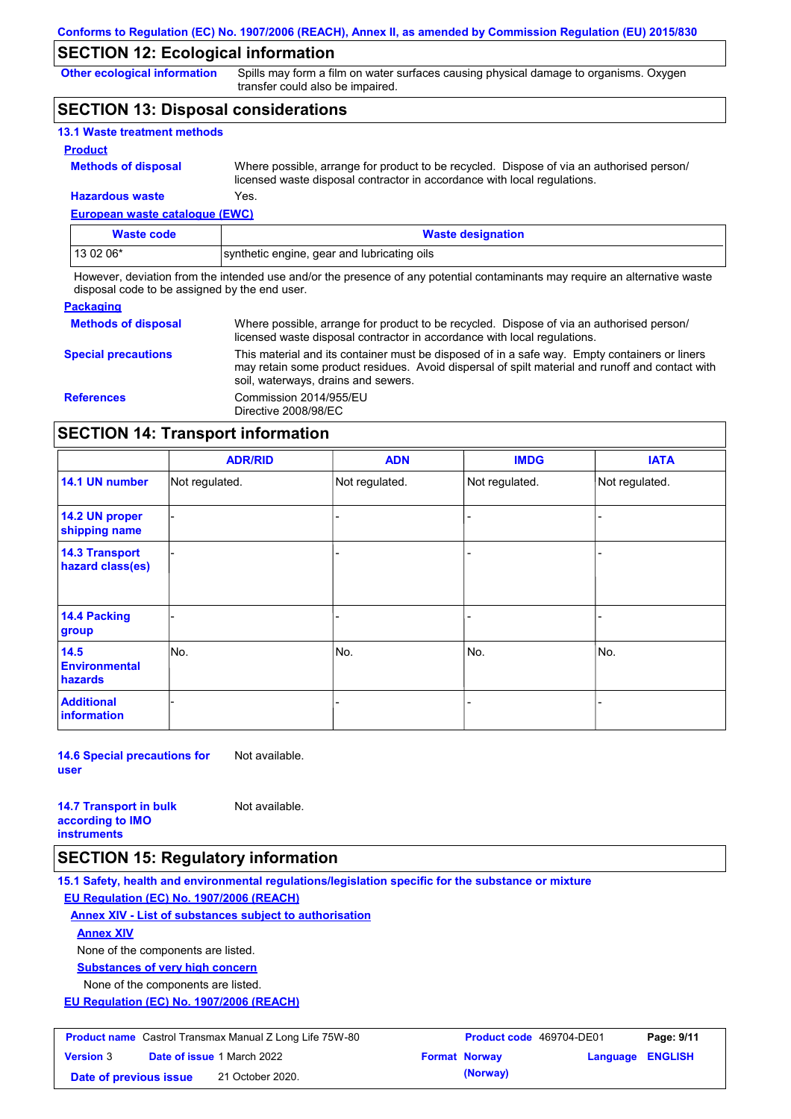## **SECTION 12: Ecological information**

**Other ecological information**

Spills may form a film on water surfaces causing physical damage to organisms. Oxygen transfer could also be impaired.

## **SECTION 13: Disposal considerations**

| <b>13.1 Waste treatment methods</b> |                                                                                                                                                                      |
|-------------------------------------|----------------------------------------------------------------------------------------------------------------------------------------------------------------------|
| <b>Product</b>                      |                                                                                                                                                                      |
| <b>Methods of disposal</b>          | Where possible, arrange for product to be recycled. Dispose of via an authorised person/<br>licensed waste disposal contractor in accordance with local regulations. |
| <b>Hazardous waste</b>              | Yes.                                                                                                                                                                 |

## **European waste catalogue (EWC)**

| <b>Waste code</b> | <b>Waste designation</b>                    |
|-------------------|---------------------------------------------|
| 13 02 06*         | synthetic engine, gear and lubricating oils |

However, deviation from the intended use and/or the presence of any potential contaminants may require an alternative waste disposal code to be assigned by the end user.

### **Packaging**

| <b>Methods of disposal</b> | Where possible, arrange for product to be recycled. Dispose of via an authorised person/<br>licensed waste disposal contractor in accordance with local regulations.                                                                    |
|----------------------------|-----------------------------------------------------------------------------------------------------------------------------------------------------------------------------------------------------------------------------------------|
| <b>Special precautions</b> | This material and its container must be disposed of in a safe way. Empty containers or liners<br>may retain some product residues. Avoid dispersal of spilt material and runoff and contact with<br>soil, waterways, drains and sewers. |
| <b>References</b>          | Commission 2014/955/EU<br>Directive 2008/98/EC                                                                                                                                                                                          |

## **SECTION 14: Transport information**

|                                           | <b>ADR/RID</b> | <b>ADN</b>     | <b>IMDG</b>    | <b>IATA</b>    |
|-------------------------------------------|----------------|----------------|----------------|----------------|
| 14.1 UN number                            | Not regulated. | Not regulated. | Not regulated. | Not regulated. |
| 14.2 UN proper<br>shipping name           |                |                |                |                |
| <b>14.3 Transport</b><br>hazard class(es) |                |                |                |                |
| 14.4 Packing<br>group                     |                |                |                |                |
| 14.5<br><b>Environmental</b><br>hazards   | No.            | No.            | No.            | No.            |
| <b>Additional</b><br>information          |                |                | -              |                |

**14.6 Special precautions for user** Not available.

**14.7 Transport in bulk according to IMO instruments**

Not available.

### **SECTION 15: Regulatory information**

**15.1 Safety, health and environmental regulations/legislation specific for the substance or mixture**

**EU Regulation (EC) No. 1907/2006 (REACH)**

**Annex XIV - List of substances subject to authorisation**

**Annex XIV**

None of the components are listed.

**Substances of very high concern**

None of the components are listed.

**EU Regulation (EC) No. 1907/2006 (REACH)**

| <b>Product name</b> Castrol Transmax Manual Z Long Life 75W-80 |  | <b>Product code</b> 469704-DE01   |  | Page: 9/11           |                         |  |
|----------------------------------------------------------------|--|-----------------------------------|--|----------------------|-------------------------|--|
| <b>Version 3</b>                                               |  | <b>Date of issue 1 March 2022</b> |  | <b>Format Norway</b> | <b>Language ENGLISH</b> |  |
| Date of previous issue                                         |  | 21 October 2020.                  |  | (Norway)             |                         |  |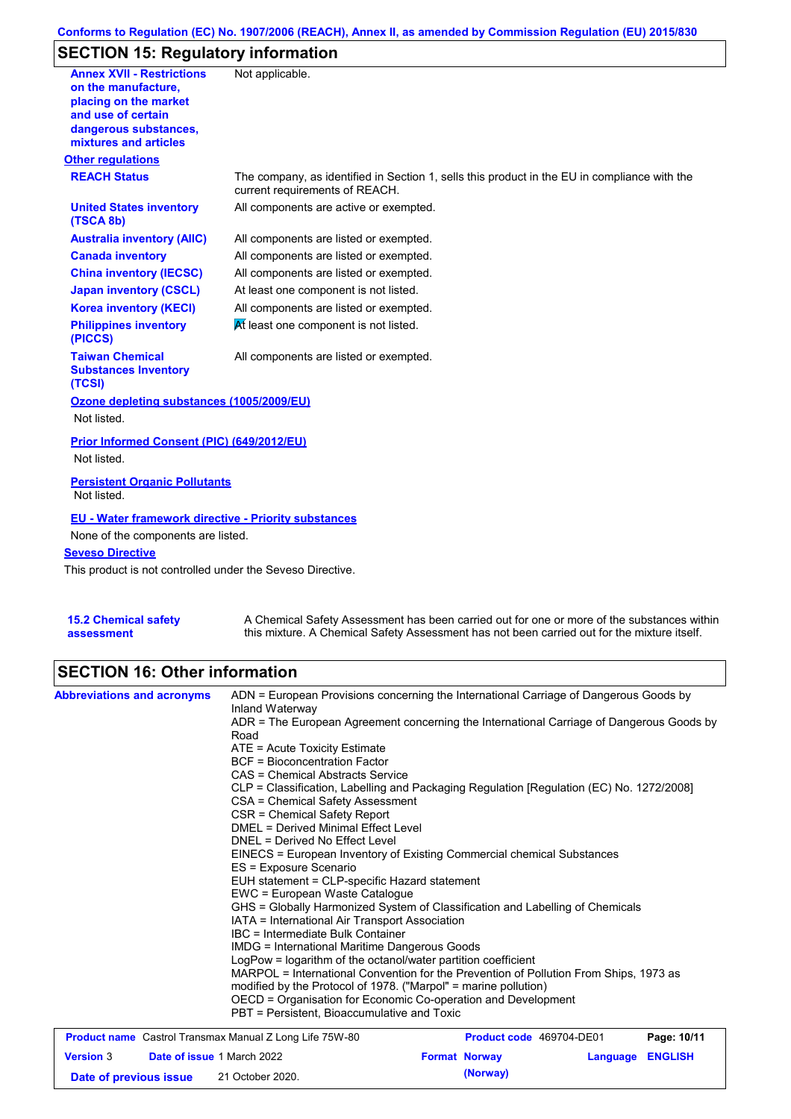### **Conforms to Regulation (EC) No. 1907/2006 (REACH), Annex II, as amended by Commission Regulation (EU) 2015/830**

# **SECTION 15: Regulatory information**

| <b>Annex XVII - Restrictions</b><br>on the manufacture,<br>placing on the market<br>and use of certain<br>dangerous substances, | Not applicable.                                                                                                                |
|---------------------------------------------------------------------------------------------------------------------------------|--------------------------------------------------------------------------------------------------------------------------------|
| mixtures and articles                                                                                                           |                                                                                                                                |
| <b>Other regulations</b>                                                                                                        |                                                                                                                                |
| <b>REACH Status</b>                                                                                                             | The company, as identified in Section 1, sells this product in the EU in compliance with the<br>current requirements of REACH. |
| <b>United States inventory</b><br>(TSCA 8b)                                                                                     | All components are active or exempted.                                                                                         |
| <b>Australia inventory (AIIC)</b>                                                                                               | All components are listed or exempted.                                                                                         |
| <b>Canada inventory</b>                                                                                                         | All components are listed or exempted.                                                                                         |
| <b>China inventory (IECSC)</b>                                                                                                  | All components are listed or exempted.                                                                                         |
| <b>Japan inventory (CSCL)</b>                                                                                                   | At least one component is not listed.                                                                                          |
| <b>Korea inventory (KECI)</b>                                                                                                   | All components are listed or exempted.                                                                                         |
| <b>Philippines inventory</b><br>(PICCS)                                                                                         | At least one component is not listed.                                                                                          |
| <b>Taiwan Chemical</b><br><b>Substances Inventory</b><br>(TCSI)                                                                 | All components are listed or exempted.                                                                                         |
| Ozone depleting substances (1005/2009/EU)                                                                                       |                                                                                                                                |
| Not listed.                                                                                                                     |                                                                                                                                |
| Prior Informed Consent (PIC) (649/2012/EU)                                                                                      |                                                                                                                                |
| Not listed.                                                                                                                     |                                                                                                                                |
| <b>Persistent Organic Pollutants</b><br>Not listed.                                                                             |                                                                                                                                |
| <b>EU - Water framework directive - Priority substances</b>                                                                     |                                                                                                                                |
| None of the components are listed.                                                                                              |                                                                                                                                |
| <b>Seveso Directive</b>                                                                                                         |                                                                                                                                |
| This product is not controlled under the Seveso Directive.                                                                      |                                                                                                                                |
|                                                                                                                                 |                                                                                                                                |
| <b>15.2 Chemical safety</b>                                                                                                     | A Chemical Safety Assessment has been carried out for one or more of the substances within                                     |

this mixture. A Chemical Safety Assessment has not been carried out for the mixture itself.

### **SECTION 16: Other information**

**assessment**

| <b>Abbreviations and acronyms</b>                              | ADN = European Provisions concerning the International Carriage of Dangerous Goods by<br>Inland Waterway                                                                                                                                                                                                                                                                                      |                          |          |                |  |  |  |
|----------------------------------------------------------------|-----------------------------------------------------------------------------------------------------------------------------------------------------------------------------------------------------------------------------------------------------------------------------------------------------------------------------------------------------------------------------------------------|--------------------------|----------|----------------|--|--|--|
|                                                                | ADR = The European Agreement concerning the International Carriage of Dangerous Goods by<br>Road                                                                                                                                                                                                                                                                                              |                          |          |                |  |  |  |
|                                                                | ATE = Acute Toxicity Estimate                                                                                                                                                                                                                                                                                                                                                                 |                          |          |                |  |  |  |
|                                                                | <b>BCF</b> = Bioconcentration Factor                                                                                                                                                                                                                                                                                                                                                          |                          |          |                |  |  |  |
|                                                                | CAS = Chemical Abstracts Service                                                                                                                                                                                                                                                                                                                                                              |                          |          |                |  |  |  |
|                                                                | CLP = Classification, Labelling and Packaging Regulation [Regulation (EC) No. 1272/2008]                                                                                                                                                                                                                                                                                                      |                          |          |                |  |  |  |
|                                                                | CSA = Chemical Safety Assessment                                                                                                                                                                                                                                                                                                                                                              |                          |          |                |  |  |  |
|                                                                | CSR = Chemical Safety Report                                                                                                                                                                                                                                                                                                                                                                  |                          |          |                |  |  |  |
|                                                                | DMEL = Derived Minimal Effect Level                                                                                                                                                                                                                                                                                                                                                           |                          |          |                |  |  |  |
|                                                                | DNEL = Derived No Effect Level<br>EINECS = European Inventory of Existing Commercial chemical Substances<br>ES = Exposure Scenario<br>EUH statement = CLP-specific Hazard statement<br>EWC = European Waste Catalogue<br>GHS = Globally Harmonized System of Classification and Labelling of Chemicals<br>IATA = International Air Transport Association<br>IBC = Intermediate Bulk Container |                          |          |                |  |  |  |
|                                                                |                                                                                                                                                                                                                                                                                                                                                                                               |                          |          |                |  |  |  |
|                                                                |                                                                                                                                                                                                                                                                                                                                                                                               |                          |          |                |  |  |  |
|                                                                |                                                                                                                                                                                                                                                                                                                                                                                               |                          |          |                |  |  |  |
|                                                                |                                                                                                                                                                                                                                                                                                                                                                                               |                          |          |                |  |  |  |
|                                                                |                                                                                                                                                                                                                                                                                                                                                                                               |                          |          |                |  |  |  |
|                                                                |                                                                                                                                                                                                                                                                                                                                                                                               |                          |          |                |  |  |  |
|                                                                |                                                                                                                                                                                                                                                                                                                                                                                               |                          |          |                |  |  |  |
|                                                                | IMDG = International Maritime Dangerous Goods                                                                                                                                                                                                                                                                                                                                                 |                          |          |                |  |  |  |
|                                                                | LogPow = logarithm of the octanol/water partition coefficient<br>MARPOL = International Convention for the Prevention of Pollution From Ships, 1973 as                                                                                                                                                                                                                                        |                          |          |                |  |  |  |
|                                                                |                                                                                                                                                                                                                                                                                                                                                                                               |                          |          |                |  |  |  |
|                                                                | modified by the Protocol of 1978. ("Marpol" = marine pollution)<br>OECD = Organisation for Economic Co-operation and Development                                                                                                                                                                                                                                                              |                          |          |                |  |  |  |
|                                                                |                                                                                                                                                                                                                                                                                                                                                                                               |                          |          |                |  |  |  |
|                                                                | PBT = Persistent, Bioaccumulative and Toxic                                                                                                                                                                                                                                                                                                                                                   |                          |          |                |  |  |  |
| <b>Product name</b> Castrol Transmax Manual Z Long Life 75W-80 |                                                                                                                                                                                                                                                                                                                                                                                               | Product code 469704-DE01 |          | Page: 10/11    |  |  |  |
| <b>Version 3</b><br><b>Date of issue 1 March 2022</b>          |                                                                                                                                                                                                                                                                                                                                                                                               | <b>Format Norway</b>     | Language | <b>ENGLISH</b> |  |  |  |

**Date of previous issue (Norway)** 21 October 2020.